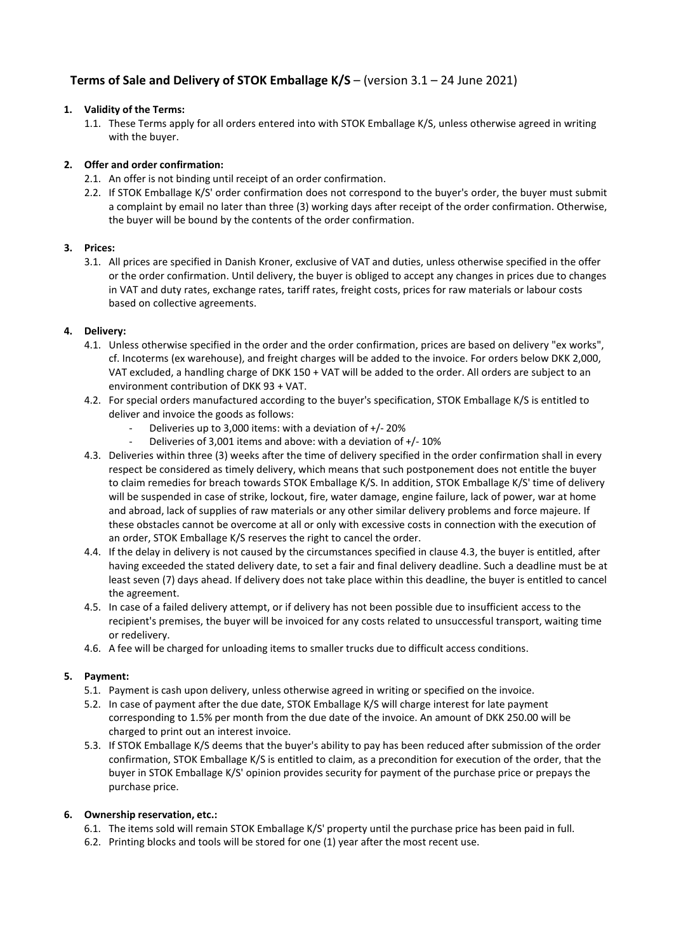# **Terms of Sale and Delivery of STOK Emballage K/S** – (version 3.1 – 24 June 2021)

### **1. Validity of the Terms:**

1.1. These Terms apply for all orders entered into with STOK Emballage K/S, unless otherwise agreed in writing with the buyer.

### **2. Offer and order confirmation:**

- 2.1. An offer is not binding until receipt of an order confirmation.
- 2.2. If STOK Emballage K/S' order confirmation does not correspond to the buyer's order, the buyer must submit a complaint by email no later than three (3) working days after receipt of the order confirmation. Otherwise, the buyer will be bound by the contents of the order confirmation.

#### **3. Prices:**

3.1. All prices are specified in Danish Kroner, exclusive of VAT and duties, unless otherwise specified in the offer or the order confirmation. Until delivery, the buyer is obliged to accept any changes in prices due to changes in VAT and duty rates, exchange rates, tariff rates, freight costs, prices for raw materials or labour costs based on collective agreements.

#### **4. Delivery:**

- 4.1. Unless otherwise specified in the order and the order confirmation, prices are based on delivery "ex works", cf. Incoterms (ex warehouse), and freight charges will be added to the invoice. For orders below DKK 2,000, VAT excluded, a handling charge of DKK 150 + VAT will be added to the order. All orders are subject to an environment contribution of DKK 93 + VAT.
- 4.2. For special orders manufactured according to the buyer's specification, STOK Emballage K/S is entitled to deliver and invoice the goods as follows:
	- Deliveries up to 3,000 items: with a deviation of +/- 20%
	- Deliveries of 3,001 items and above: with a deviation of +/- 10%
- 4.3. Deliveries within three (3) weeks after the time of delivery specified in the order confirmation shall in every respect be considered as timely delivery, which means that such postponement does not entitle the buyer to claim remedies for breach towards STOK Emballage K/S. In addition, STOK Emballage K/S' time of delivery will be suspended in case of strike, lockout, fire, water damage, engine failure, lack of power, war at home and abroad, lack of supplies of raw materials or any other similar delivery problems and force majeure. If these obstacles cannot be overcome at all or only with excessive costs in connection with the execution of an order, STOK Emballage K/S reserves the right to cancel the order.
- 4.4. If the delay in delivery is not caused by the circumstances specified in clause 4.3, the buyer is entitled, after having exceeded the stated delivery date, to set a fair and final delivery deadline. Such a deadline must be at least seven (7) days ahead. If delivery does not take place within this deadline, the buyer is entitled to cancel the agreement.
- 4.5. In case of a failed delivery attempt, or if delivery has not been possible due to insufficient access to the recipient's premises, the buyer will be invoiced for any costs related to unsuccessful transport, waiting time or redelivery.
- 4.6. A fee will be charged for unloading items to smaller trucks due to difficult access conditions.

# **5. Payment:**

- 5.1. Payment is cash upon delivery, unless otherwise agreed in writing or specified on the invoice.
- 5.2. In case of payment after the due date, STOK Emballage K/S will charge interest for late payment corresponding to 1.5% per month from the due date of the invoice. An amount of DKK 250.00 will be charged to print out an interest invoice.
- 5.3. If STOK Emballage K/S deems that the buyer's ability to pay has been reduced after submission of the order confirmation, STOK Emballage K/S is entitled to claim, as a precondition for execution of the order, that the buyer in STOK Emballage K/S' opinion provides security for payment of the purchase price or prepays the purchase price.

#### **6. Ownership reservation, etc.:**

- 6.1. The items sold will remain STOK Emballage K/S' property until the purchase price has been paid in full.
- 6.2. Printing blocks and tools will be stored for one (1) year after the most recent use.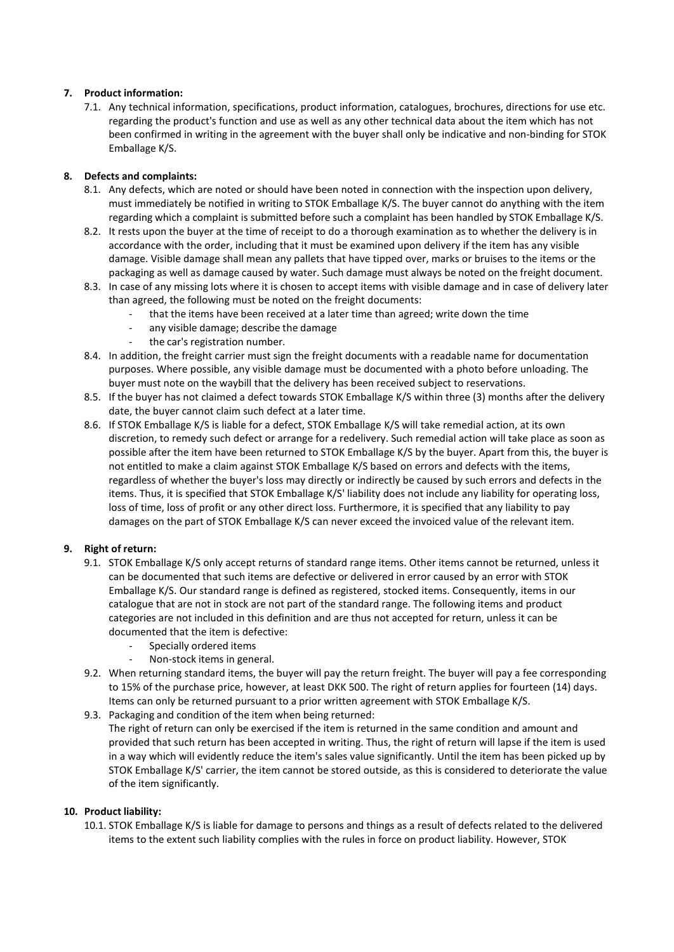# **7. Product information:**

7.1. Any technical information, specifications, product information, catalogues, brochures, directions for use etc. regarding the product's function and use as well as any other technical data about the item which has not been confirmed in writing in the agreement with the buyer shall only be indicative and non-binding for STOK Emballage K/S.

# **8. Defects and complaints:**

- 8.1. Any defects, which are noted or should have been noted in connection with the inspection upon delivery, must immediately be notified in writing to STOK Emballage K/S. The buyer cannot do anything with the item regarding which a complaint is submitted before such a complaint has been handled by STOK Emballage K/S.
- 8.2. It rests upon the buyer at the time of receipt to do a thorough examination as to whether the delivery is in accordance with the order, including that it must be examined upon delivery if the item has any visible damage. Visible damage shall mean any pallets that have tipped over, marks or bruises to the items or the packaging as well as damage caused by water. Such damage must always be noted on the freight document.
- 8.3. In case of any missing lots where it is chosen to accept items with visible damage and in case of delivery later than agreed, the following must be noted on the freight documents:
	- that the items have been received at a later time than agreed; write down the time
	- any visible damage; describe the damage
	- the car's registration number.
- 8.4. In addition, the freight carrier must sign the freight documents with a readable name for documentation purposes. Where possible, any visible damage must be documented with a photo before unloading. The buyer must note on the waybill that the delivery has been received subject to reservations.
- 8.5. If the buyer has not claimed a defect towards STOK Emballage K/S within three (3) months after the delivery date, the buyer cannot claim such defect at a later time.
- 8.6. If STOK Emballage K/S is liable for a defect, STOK Emballage K/S will take remedial action, at its own discretion, to remedy such defect or arrange for a redelivery. Such remedial action will take place as soon as possible after the item have been returned to STOK Emballage K/S by the buyer. Apart from this, the buyer is not entitled to make a claim against STOK Emballage K/S based on errors and defects with the items, regardless of whether the buyer's loss may directly or indirectly be caused by such errors and defects in the items. Thus, it is specified that STOK Emballage K/S' liability does not include any liability for operating loss, loss of time, loss of profit or any other direct loss. Furthermore, it is specified that any liability to pay damages on the part of STOK Emballage K/S can never exceed the invoiced value of the relevant item.

# **9. Right of return:**

- 9.1. STOK Emballage K/S only accept returns of standard range items. Other items cannot be returned, unless it can be documented that such items are defective or delivered in error caused by an error with STOK Emballage K/S. Our standard range is defined as registered, stocked items. Consequently, items in our catalogue that are not in stock are not part of the standard range. The following items and product categories are not included in this definition and are thus not accepted for return, unless it can be documented that the item is defective:
	- Specially ordered items
	- Non-stock items in general.
- 9.2. When returning standard items, the buyer will pay the return freight. The buyer will pay a fee corresponding to 15% of the purchase price, however, at least DKK 500. The right of return applies for fourteen (14) days. Items can only be returned pursuant to a prior written agreement with STOK Emballage K/S.
- 9.3. Packaging and condition of the item when being returned:
	- The right of return can only be exercised if the item is returned in the same condition and amount and provided that such return has been accepted in writing. Thus, the right of return will lapse if the item is used in a way which will evidently reduce the item's sales value significantly. Until the item has been picked up by STOK Emballage K/S' carrier, the item cannot be stored outside, as this is considered to deteriorate the value of the item significantly.

# **10. Product liability:**

10.1. STOK Emballage K/S is liable for damage to persons and things as a result of defects related to the delivered items to the extent such liability complies with the rules in force on product liability. However, STOK